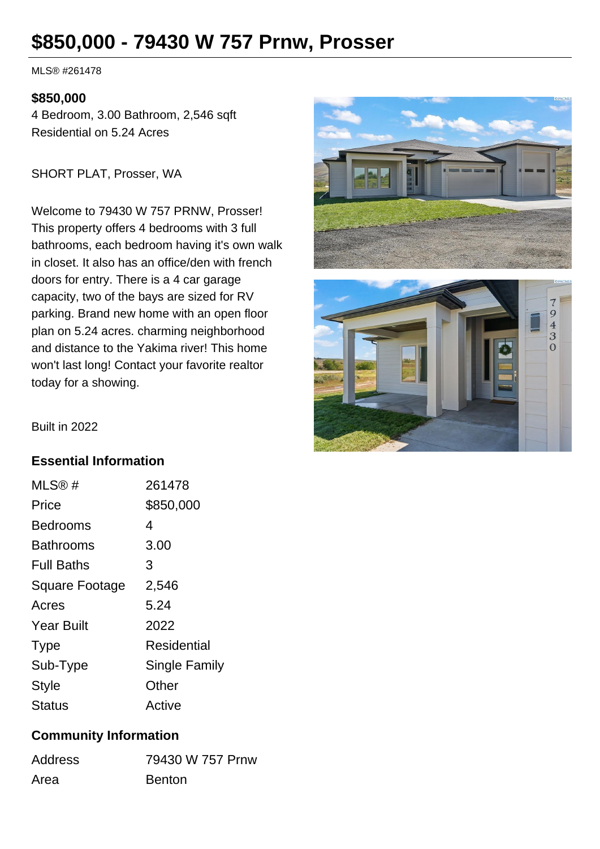# **\$850,000 - 79430 W 757 Prnw, Prosser**

MLS® #261478

#### **\$850,000**

4 Bedroom, 3.00 Bathroom, 2,546 sqft Residential on 5.24 Acres

SHORT PLAT, Prosser, WA

Welcome to 79430 W 757 PRNW, Prosser! This property offers 4 bedrooms with 3 full bathrooms, each bedroom having it's own walk in closet. It also has an office/den with french doors for entry. There is a 4 car garage capacity, two of the bays are sized for RV parking. Brand new home with an open floor plan on 5.24 acres. charming neighborhood and distance to the Yakima river! This home won't last long! Contact your favorite realtor today for a showing.





Built in 2022

### **Essential Information**

| MLS@#             | 261478        |
|-------------------|---------------|
| Price             | \$850,000     |
| <b>Bedrooms</b>   | 4             |
| <b>Bathrooms</b>  | 3.00          |
| <b>Full Baths</b> | 3             |
| Square Footage    | 2,546         |
| Acres             | 5.24          |
| <b>Year Built</b> | 2022          |
| <b>Type</b>       | Residential   |
| Sub-Type          | Single Family |
| <b>Style</b>      | Other         |
| <b>Status</b>     | Active        |

#### **Community Information**

| <b>Address</b> | 79430 W 757 Prnw |
|----------------|------------------|
| Area           | <b>Benton</b>    |